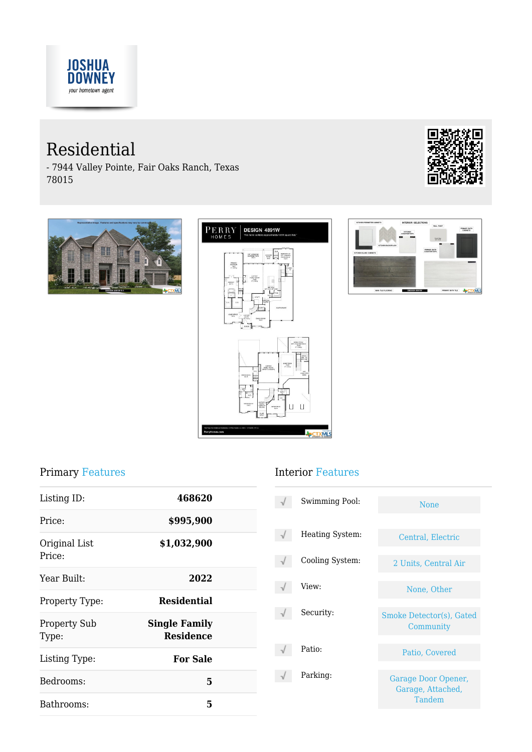

# Residential

- 7944 Valley Pointe, Fair Oaks Ranch, Texas 78015









#### Primary Features

| 468620                                   |  |
|------------------------------------------|--|
| \$995,900                                |  |
| \$1,032,900                              |  |
| 2022                                     |  |
| <b>Residential</b>                       |  |
| <b>Single Family</b><br><b>Residence</b> |  |
| <b>For Sale</b>                          |  |
| 5                                        |  |
| 5                                        |  |
|                                          |  |

#### Interior Features

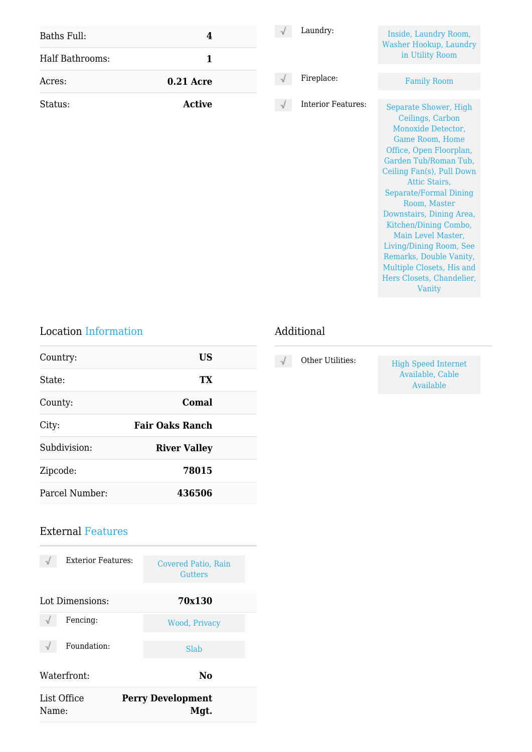| Baths Full:     | $\boldsymbol{4}$ | Laundry:           | Inside, Laundry Room,<br>Washer Hookup, Laundry                                                                                                                                                                                                                                                                                                                                                                                            |
|-----------------|------------------|--------------------|--------------------------------------------------------------------------------------------------------------------------------------------------------------------------------------------------------------------------------------------------------------------------------------------------------------------------------------------------------------------------------------------------------------------------------------------|
| Half Bathrooms: | $\mathbf{1}$     |                    | in Utility Room                                                                                                                                                                                                                                                                                                                                                                                                                            |
| Acres:          | <b>0.21 Acre</b> | Fireplace:         | <b>Family Room</b>                                                                                                                                                                                                                                                                                                                                                                                                                         |
| Status:         | <b>Active</b>    | Interior Features: | Separate Shower, High<br>Ceilings, Carbon<br>Monoxide Detector,<br>Game Room, Home<br>Office, Open Floorplan,<br>Garden Tub/Roman Tub,<br>Ceiling Fan(s), Pull Down<br>Attic Stairs,<br><b>Separate/Formal Dining</b><br>Room, Master<br>Downstairs, Dining Area,<br>Kitchen/Dining Combo,<br>Main Level Master,<br>Living/Dining Room, See<br>Remarks, Double Vanity,<br>Multiple Closets, His and<br>Hers Closets, Chandelier,<br>Vanity |

### Location Information

| Country:       | US                     |  |
|----------------|------------------------|--|
| State:         | TX                     |  |
| County:        | Comal                  |  |
| City:          | <b>Fair Oaks Ranch</b> |  |
| Subdivision:   | <b>River Valley</b>    |  |
| Zipcode:       | 78015                  |  |
| Parcel Number: | 436506                 |  |

## Additional

#### External Features

| <b>Exterior Features:</b> | Covered Patio, Rain<br><b>Gutters</b> |
|---------------------------|---------------------------------------|
| Lot Dimensions:           | 70x130                                |
| Fencing:                  | Wood, Privacy                         |
| Foundation:               | Slab                                  |
| Waterfront:               | No                                    |
| List Office<br>Name:      | <b>Perry Development</b><br>Mgt.      |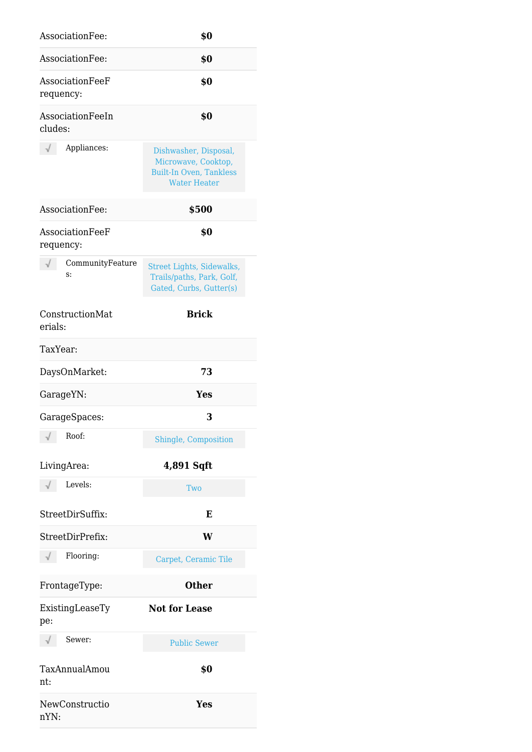| AssociationFee:              | \$0                                                                                                   |
|------------------------------|-------------------------------------------------------------------------------------------------------|
| AssociationFee:              | \$0                                                                                                   |
| AssociationFeeF<br>requency: | \$0                                                                                                   |
| AssociationFeeIn<br>cludes:  | \$0                                                                                                   |
| Appliances:                  | Dishwasher, Disposal,<br>Microwave, Cooktop,<br><b>Built-In Oven, Tankless</b><br><b>Water Heater</b> |
| AssociationFee:              | \$500                                                                                                 |
| AssociationFeeF<br>requency: | \$0                                                                                                   |
| CommunityFeature<br>s:       | Street Lights, Sidewalks,<br>Trails/paths, Park, Golf,<br>Gated, Curbs, Gutter(s)                     |
| ConstructionMat<br>erials:   | <b>Brick</b>                                                                                          |
| TaxYear:                     |                                                                                                       |
| DaysOnMarket:                | 73                                                                                                    |
| GarageYN:                    | Yes                                                                                                   |
| GarageSpaces:                | 3                                                                                                     |
| Roof:                        | Shingle, Composition                                                                                  |
| LivingArea:                  | 4,891 Sqft                                                                                            |
| Levels:                      | Two                                                                                                   |
| StreetDirSuffix:             | E                                                                                                     |
| StreetDirPrefix:             | W                                                                                                     |
| Flooring:                    | Carpet, Ceramic Tile                                                                                  |
| FrontageType:                | <b>Other</b>                                                                                          |
| ExistingLeaseTy<br>pe:       | <b>Not for Lease</b>                                                                                  |
| Sewer:                       | <b>Public Sewer</b>                                                                                   |
| TaxAnnualAmou<br>nt:         | \$0                                                                                                   |
| NewConstructio<br>nYN:       | Yes                                                                                                   |